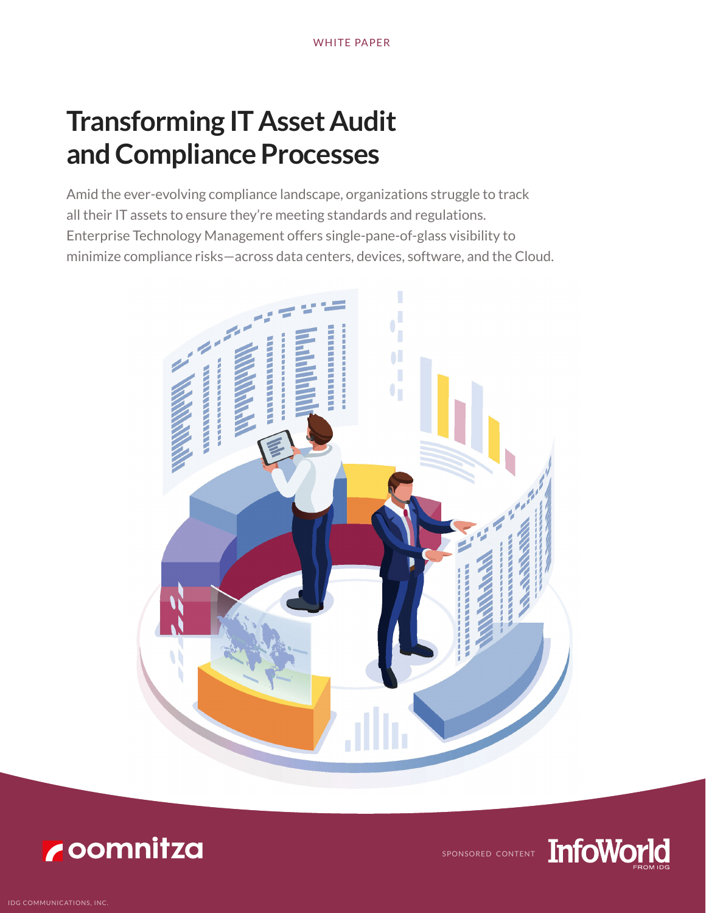# **Transforming IT Asset Audit and Compliance Processes**

Amid the ever-evolving compliance landscape, organizations struggle to track all their IT assets to ensure they're meeting standards and regulations. Enterprise Technology Management offers single-pane-of-glass visibility to minimize compliance risks—across data centers, devices, software, and the Cloud.





SPONSORED CONTENT

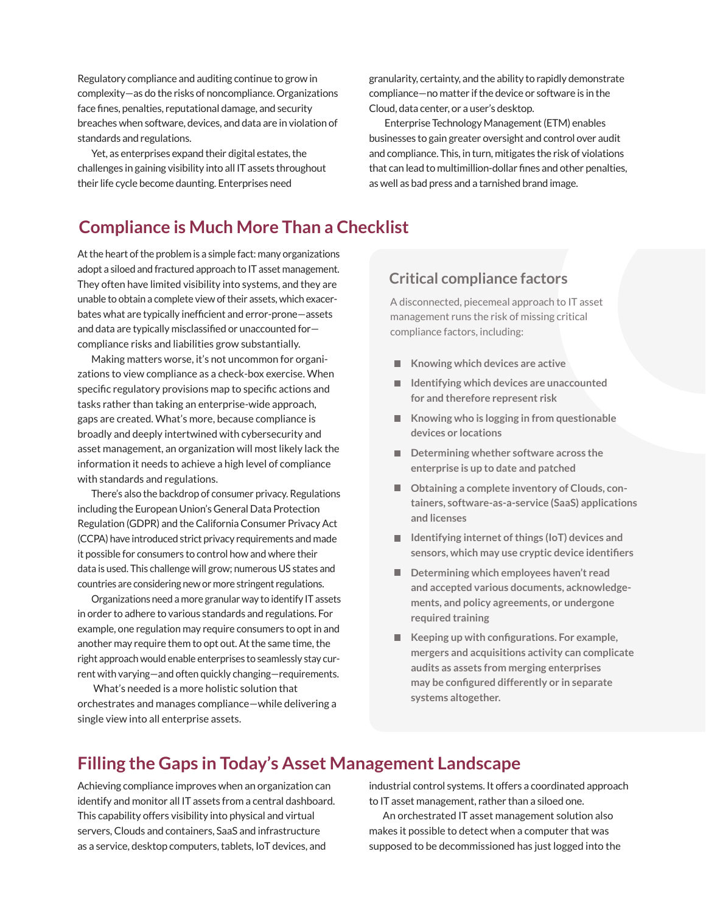Regulatory compliance and auditing continue to grow in complexity—as do the risks of noncompliance. Organizations face fines, penalties, reputational damage, and security breaches when software, devices, and data are in violation of standards and regulations.

Yet, as enterprises expand their digital estates, the challenges in gaining visibility into all IT assets throughout their life cycle become daunting. Enterprises need

granularity, certainty, and the ability to rapidly demonstrate compliance—no matter if the device or software is in the Cloud, data center, or a user's desktop.

 Enterprise Technology Management (ETM) enables businesses to gain greater oversight and control over audit and compliance. This, in turn, mitigates the risk of violations that can lead to multimillion-dollar fines and other penalties, as well as bad press and a tarnished brand image.

# **Compliance is Much More Than a Checklist**

At the heart of the problem is a simple fact: many organizations adopt a siloed and fractured approach to IT asset management. They often have limited visibility into systems, and they are unable to obtain a complete view of their assets, which exacerbates what are typically inefficient and error-prone—assets and data are typically misclassified or unaccounted for compliance risks and liabilities grow substantially.

Making matters worse, it's not uncommon for organizations to view compliance as a check-box exercise. When specific regulatory provisions map to specific actions and tasks rather than taking an enterprise-wide approach, gaps are created. What's more, because compliance is broadly and deeply intertwined with cybersecurity and asset management, an organization will most likely lack the information it needs to achieve a high level of compliance with standards and regulations.

There's also the backdrop of consumer privacy. Regulations including the European Union's General Data Protection Regulation (GDPR) and the California Consumer Privacy Act (CCPA) have introduced strict privacy requirements and made it possible for consumers to control how and where their data is used. This challenge will grow; numerous US states and countries are considering new or more stringent regulations.

Organizations need a more granular way to identify IT assets in order to adhere to various standards and regulations. For example, one regulation may require consumers to opt in and another may require them to opt out. At the same time, the right approach would enable enterprises to seamlessly stay current with varying—and often quickly changing—requirements.

 What's needed is a more holistic solution that orchestrates and manages compliance—while delivering a single view into all enterprise assets.

## **Critical compliance factors**

A disconnected, piecemeal approach to IT asset management runs the risk of missing critical compliance factors, including:

- **Knowing which devices are active**
- **Identifying which devices are unaccounted for and therefore represent risk**
- **Knowing who is logging in from questionable devices or locations**
- Determining whether software across the **enterprise is up to date and patched**
- Obtaining a complete inventory of Clouds, con**tainers, software-as-a-service (SaaS) applications and licenses**
- Identifying internet of things (IoT) devices and **sensors, which may use cryptic device identifiers**
- **Determining which employees haven't read and accepted various documents, acknowledgements, and policy agreements, or undergone required training**
- Keeping up with configurations. For example, **mergers and acquisitions activity can complicate audits as assets from merging enterprises may be configured differently or in separate systems altogether.**

# **Filling the Gaps in Today's Asset Management Landscape**

Achieving compliance improves when an organization can identify and monitor all IT assets from a central dashboard. This capability offers visibility into physical and virtual servers, Clouds and containers, SaaS and infrastructure as a service, desktop computers, tablets, IoT devices, and

industrial control systems. It offers a coordinated approach to IT asset management, rather than a siloed one.

An orchestrated IT asset management solution also makes it possible to detect when a computer that was supposed to be decommissioned has just logged into the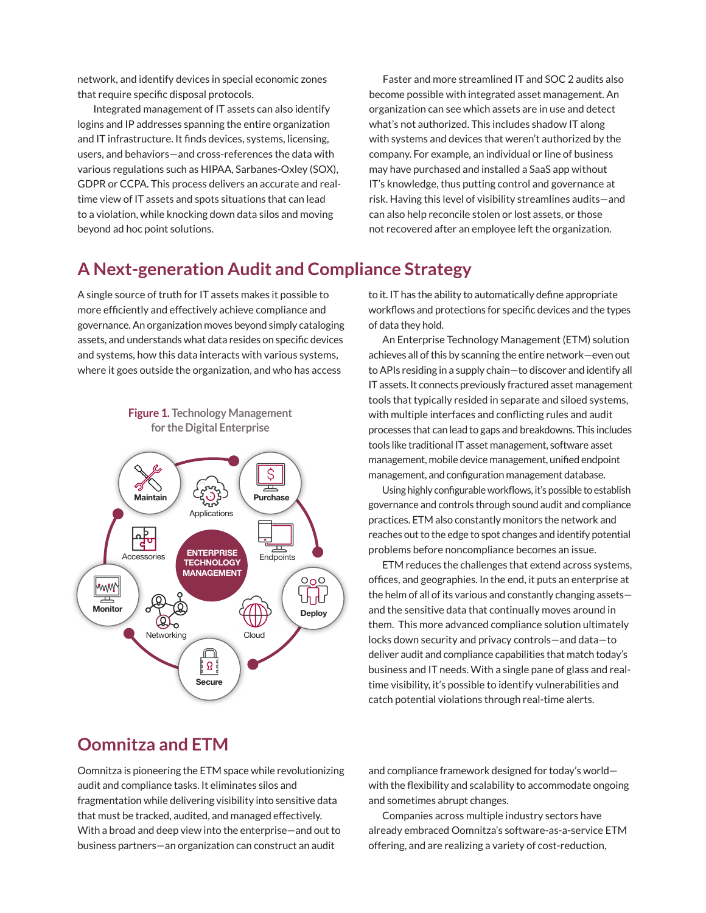network, and identify devices in special economic zones that require specific disposal protocols.

 Integrated management of IT assets can also identify logins and IP addresses spanning the entire organization and IT infrastructure. It finds devices, systems, licensing, users, and behaviors—and cross-references the data with various regulations such as HIPAA, Sarbanes-Oxley (SOX), GDPR or CCPA. This process delivers an accurate and realtime view of IT assets and spots situations that can lead to a violation, while knocking down data silos and moving beyond ad hoc point solutions.

Faster and more streamlined IT and SOC 2 audits also become possible with integrated asset management. An organization can see which assets are in use and detect what's not authorized. This includes shadow IT along with systems and devices that weren't authorized by the company. For example, an individual or line of business may have purchased and installed a SaaS app without IT's knowledge, thus putting control and governance at risk. Having this level of visibility streamlines audits—and can also help reconcile stolen or lost assets, or those not recovered after an employee left the organization.

## **A Next-generation Audit and Compliance Strategy**

A single source of truth for IT assets makes it possible to more efficiently and effectively achieve compliance and governance. An organization moves beyond simply cataloging assets, and understands what data resides on specific devices and systems, how this data interacts with various systems, where it goes outside the organization, and who has access

**Figure 1. Technology Management** 



to it. IT has the ability to automatically define appropriate workflows and protections for specific devices and the types of data they hold.

An Enterprise Technology Management (ETM) solution achieves all of this by scanning the entire network—even out to APIs residing in a supply chain—to discover and identify all IT assets. It connects previously fractured asset management tools that typically resided in separate and siloed systems, with multiple interfaces and conflicting rules and audit processes that can lead to gaps and breakdowns. This includes tools like traditional IT asset management, software asset management, mobile device management, unified endpoint management, and configuration management database.

Using highly configurable workflows, it's possible to establish governance and controls through sound audit and compliance practices. ETM also constantly monitors the network and reaches out to the edge to spot changes and identify potential problems before noncompliance becomes an issue.

ETM reduces the challenges that extend across systems, offices, and geographies. In the end, it puts an enterprise at the helm of all of its various and constantly changing assets and the sensitive data that continually moves around in them. This more advanced compliance solution ultimately locks down security and privacy controls—and data—to deliver audit and compliance capabilities that match today's business and IT needs. With a single pane of glass and realtime visibility, it's possible to identify vulnerabilities and catch potential violations through real-time alerts.

# **Oomnitza and ETM**

Oomnitza is pioneering the ETM space while revolutionizing audit and compliance tasks. It eliminates silos and fragmentation while delivering visibility into sensitive data that must be tracked, audited, and managed effectively. With a broad and deep view into the enterprise—and out to business partners—an organization can construct an audit

and compliance framework designed for today's world with the flexibility and scalability to accommodate ongoing and sometimes abrupt changes.

Companies across multiple industry sectors have already embraced Oomnitza's software-as-a-service ETM offering, and are realizing a variety of cost-reduction,